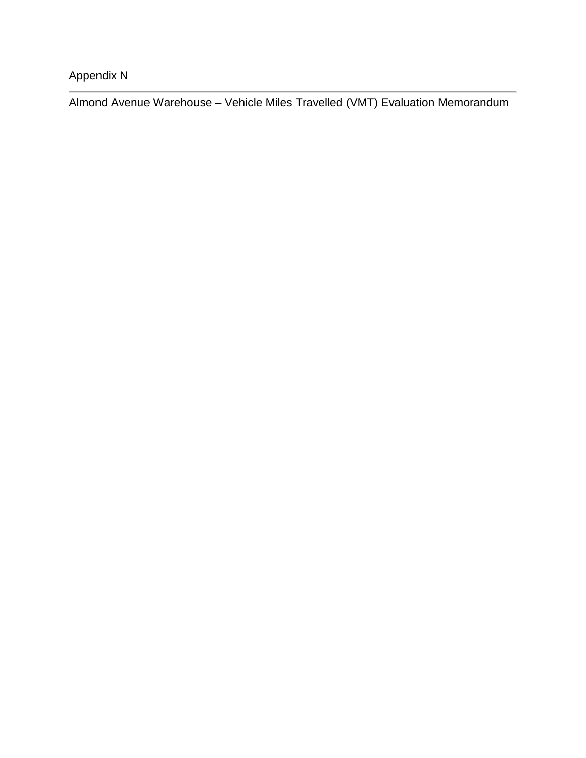Appendix N

Almond Avenue Warehouse – Vehicle Miles Travelled (VMT) Evaluation Memorandum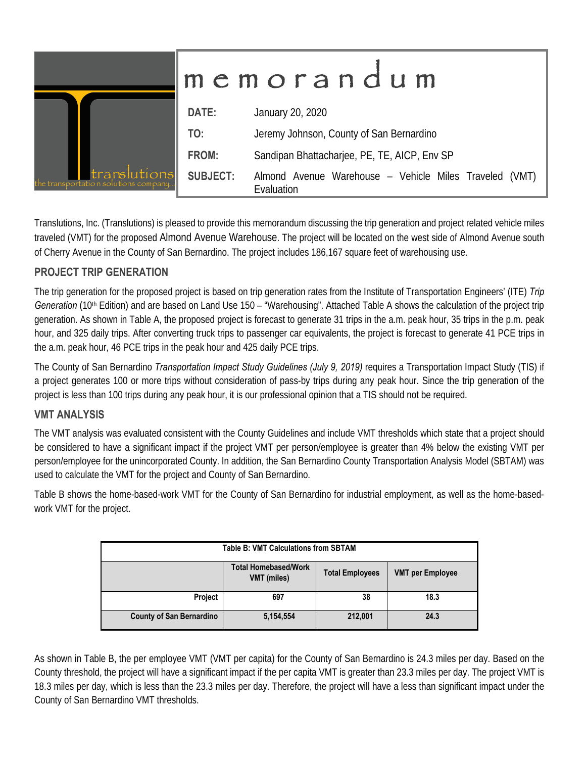|                                                       | memorandum      |                                                                      |  |  |  |  |  |
|-------------------------------------------------------|-----------------|----------------------------------------------------------------------|--|--|--|--|--|
|                                                       | DATE:           | January 20, 2020                                                     |  |  |  |  |  |
|                                                       | TO:             | Jeremy Johnson, County of San Bernardino                             |  |  |  |  |  |
|                                                       | FROM:           | Sandipan Bhattacharjee, PE, TE, AICP, Env SP                         |  |  |  |  |  |
| translutions<br>the transportation solutions company. | <b>SUBJECT:</b> | Almond Avenue Warehouse - Vehicle Miles Traveled (VMT)<br>Evaluation |  |  |  |  |  |

Translutions, Inc. (Translutions) is pleased to provide this memorandum discussing the trip generation and project related vehicle miles traveled (VMT) for the proposed Almond Avenue Warehouse. The project will be located on the west side of Almond Avenue south of Cherry Avenue in the County of San Bernardino. The project includes 186,167 square feet of warehousing use.

## **PROJECT TRIP GENERATION**

The trip generation for the proposed project is based on trip generation rates from the Institute of Transportation Engineers' (ITE) *Trip*  Generation (10<sup>th</sup> Edition) and are based on Land Use 150 – "Warehousing". Attached Table A shows the calculation of the project trip generation. As shown in Table A, the proposed project is forecast to generate 31 trips in the a.m. peak hour, 35 trips in the p.m. peak hour, and 325 daily trips. After converting truck trips to passenger car equivalents, the project is forecast to generate 41 PCE trips in the a.m. peak hour, 46 PCE trips in the peak hour and 425 daily PCE trips.

The County of San Bernardino *Transportation Impact Study Guidelines (July 9, 2019)* requires a Transportation Impact Study (TIS) if a project generates 100 or more trips without consideration of pass-by trips during any peak hour. Since the trip generation of the project is less than 100 trips during any peak hour, it is our professional opinion that a TIS should not be required.

## **VMT ANALYSIS**

The VMT analysis was evaluated consistent with the County Guidelines and include VMT thresholds which state that a project should be considered to have a significant impact if the project VMT per person/employee is greater than 4% below the existing VMT per person/employee for the unincorporated County. In addition, the San Bernardino County Transportation Analysis Model (SBTAM) was used to calculate the VMT for the project and County of San Bernardino.

Table B shows the home-based-work VMT for the County of San Bernardino for industrial employment, as well as the home-basedwork VMT for the project.

| <b>Table B: VMT Calculations from SBTAM</b> |                                                   |                        |                         |  |  |  |  |  |  |
|---------------------------------------------|---------------------------------------------------|------------------------|-------------------------|--|--|--|--|--|--|
|                                             | <b>Total Homebased/Work</b><br><b>VMT</b> (miles) | <b>Total Employees</b> | <b>VMT per Employee</b> |  |  |  |  |  |  |
| Project                                     | 697                                               | 38                     | 18.3                    |  |  |  |  |  |  |
| <b>County of San Bernardino</b>             | 5,154,554                                         | 212,001                | 24.3                    |  |  |  |  |  |  |

As shown in Table B, the per employee VMT (VMT per capita) for the County of San Bernardino is 24.3 miles per day. Based on the County threshold, the project will have a significant impact if the per capita VMT is greater than 23.3 miles per day. The project VMT is 18.3 miles per day, which is less than the 23.3 miles per day. Therefore, the project will have a less than significant impact under the County of San Bernardino VMT thresholds.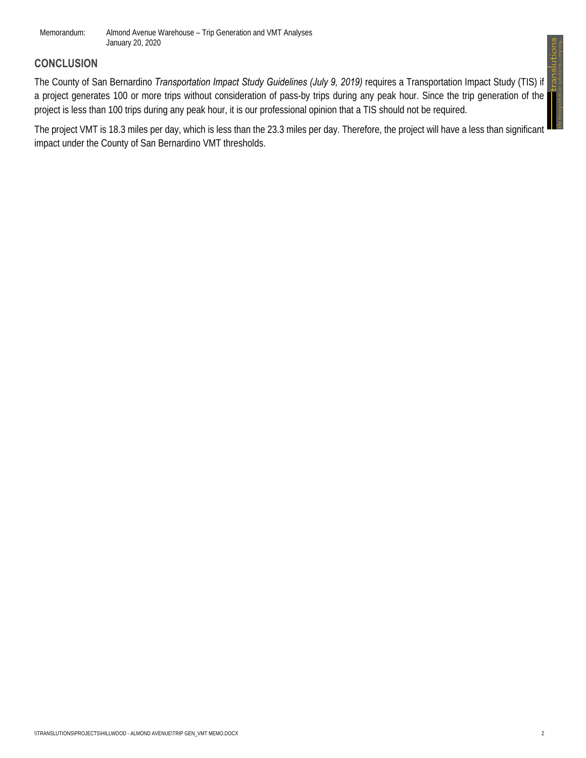Memorandum: Almond Avenue Warehouse – Trip Generation and VMT Analyses January 20, 2020

## **CONCLUSION**

 the transportation solutions company... The County of San Bernardino *Transportation Impact Study Guidelines (July 9, 2019)* requires a Transportation Impact Study (TIS) if a project generates 100 or more trips without consideration of pass-by trips during any peak hour. Since the trip generation of the project is less than 100 trips during any peak hour, it is our professional opinion that a TIS should not be required.

The project VMT is 18.3 miles per day, which is less than the 23.3 miles per day. Therefore, the project will have a less than significant impact under the County of San Bernardino VMT thresholds.